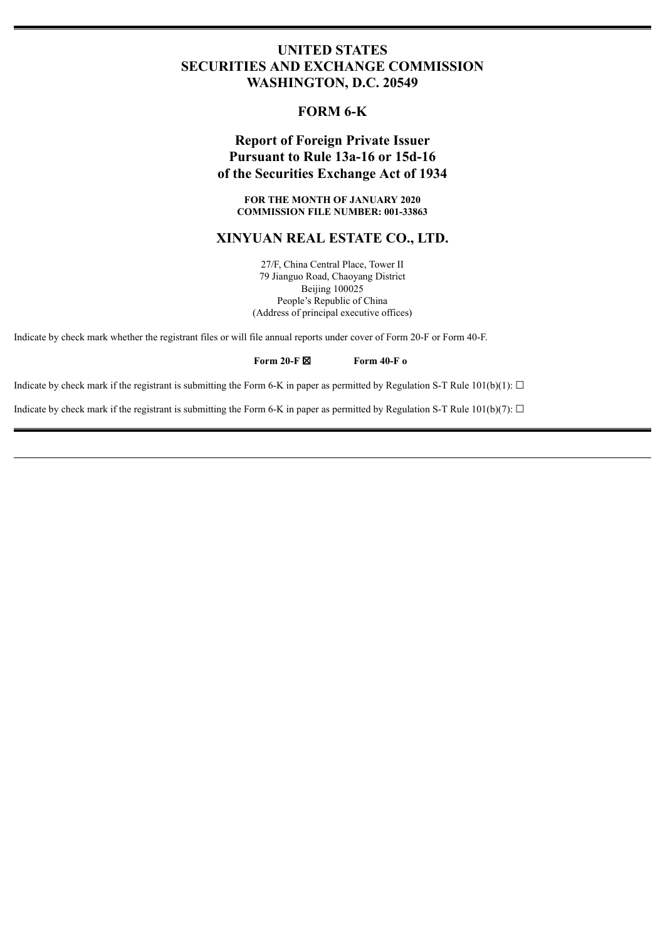## **UNITED STATES SECURITIES AND EXCHANGE COMMISSION WASHINGTON, D.C. 20549**

## **FORM 6-K**

# **Report of Foreign Private Issuer Pursuant to Rule 13a-16 or 15d-16 of the Securities Exchange Act of 1934**

**FOR THE MONTH OF JANUARY 2020 COMMISSION FILE NUMBER: 001-33863**

### **XINYUAN REAL ESTATE CO., LTD.**

27/F, China Central Place, Tower II 79 Jianguo Road, Chaoyang District Beijing 100025 People's Republic of China (Address of principal executive offices)

Indicate by check mark whether the registrant files or will file annual reports under cover of Form 20-F or Form 40-F.

### **Form 20-F** ☒ **Form 40-F o**

Indicate by check mark if the registrant is submitting the Form 6-K in paper as permitted by Regulation S-T Rule 101(b)(1):  $\Box$ 

Indicate by check mark if the registrant is submitting the Form 6-K in paper as permitted by Regulation S-T Rule 101(b)(7):  $\Box$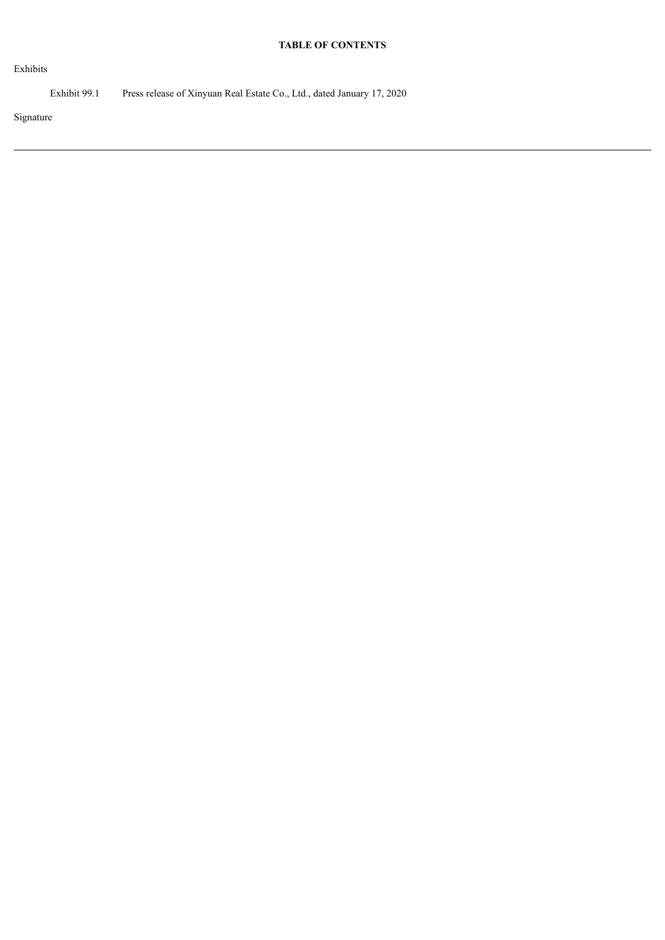### **TABLE OF CONTENTS**

Exhibits

Exhibit 99.1 Press release of Xinyuan Real Estate Co., Ltd., dated January 17, 2020

Signature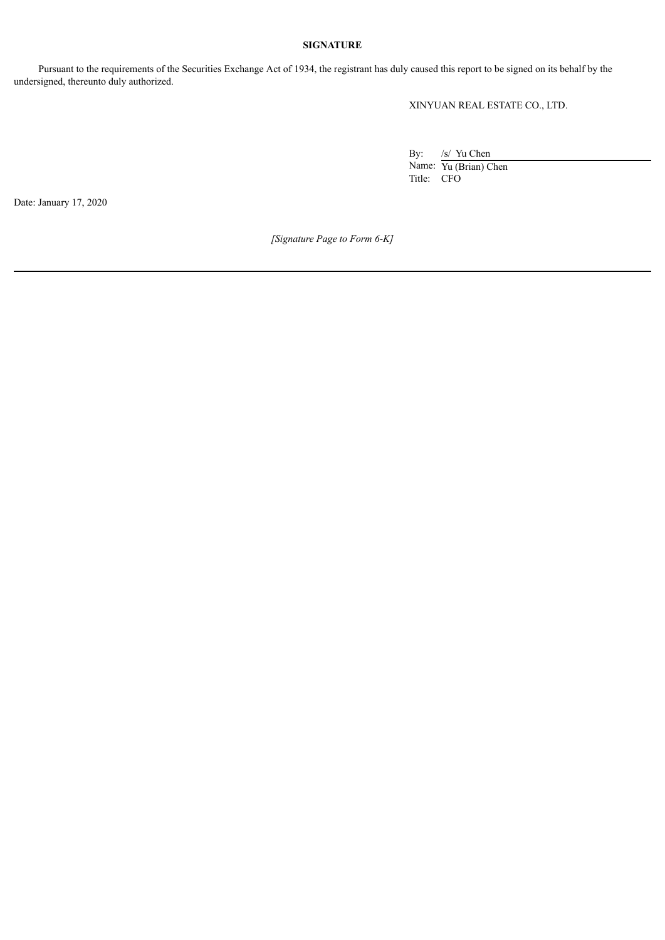### **SIGNATURE**

Pursuant to the requirements of the Securities Exchange Act of 1934, the registrant has duly caused this report to be signed on its behalf by the undersigned, thereunto duly authorized.

XINYUAN REAL ESTATE CO., LTD.

By: /s/ Yu Chen Name: Yu (Brian) Chen Title: CFO

Date: January 17, 2020

*[Signature Page to Form 6-K]*